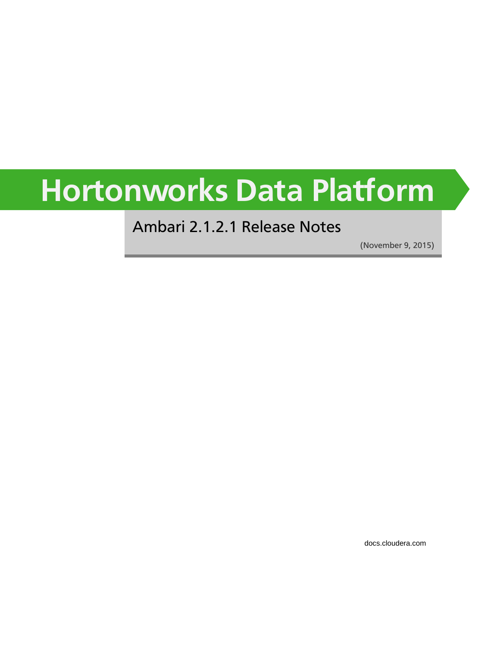# **Hortonworks Data Platform**

#### Ambari 2.1.2.1 Release Notes

(November 9, 2015)

[docs.cloudera.com](http://docs.cloudera.com)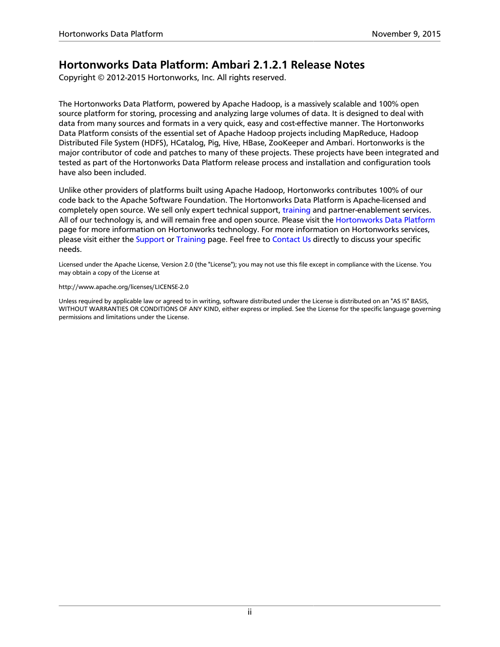#### **Hortonworks Data Platform: Ambari 2.1.2.1 Release Notes**

Copyright © 2012-2015 Hortonworks, Inc. All rights reserved.

The Hortonworks Data Platform, powered by Apache Hadoop, is a massively scalable and 100% open source platform for storing, processing and analyzing large volumes of data. It is designed to deal with data from many sources and formats in a very quick, easy and cost-effective manner. The Hortonworks Data Platform consists of the essential set of Apache Hadoop projects including MapReduce, Hadoop Distributed File System (HDFS), HCatalog, Pig, Hive, HBase, ZooKeeper and Ambari. Hortonworks is the major contributor of code and patches to many of these projects. These projects have been integrated and tested as part of the Hortonworks Data Platform release process and installation and configuration tools have also been included.

Unlike other providers of platforms built using Apache Hadoop, Hortonworks contributes 100% of our code back to the Apache Software Foundation. The Hortonworks Data Platform is Apache-licensed and completely open source. We sell only expert technical support, [training](https://hortonworks.com/training/) and partner-enablement services. All of our technology is, and will remain free and open source. Please visit the [Hortonworks Data Platform](https://hortonworks.com/technology/hortonworksdataplatform) page for more information on Hortonworks technology. For more information on Hortonworks services, please visit either the [Support](https://hortonworks.com/support) or [Training](https://hortonworks.com/training) page. Feel free to [Contact Us](https://hortonworks.com/about-us/contact-us/) directly to discuss your specific needs.

Licensed under the Apache License, Version 2.0 (the "License"); you may not use this file except in compliance with the License. You may obtain a copy of the License at

#### <http://www.apache.org/licenses/LICENSE-2.0>

Unless required by applicable law or agreed to in writing, software distributed under the License is distributed on an "AS IS" BASIS, WITHOUT WARRANTIES OR CONDITIONS OF ANY KIND, either express or implied. See the License for the specific language governing permissions and limitations under the License.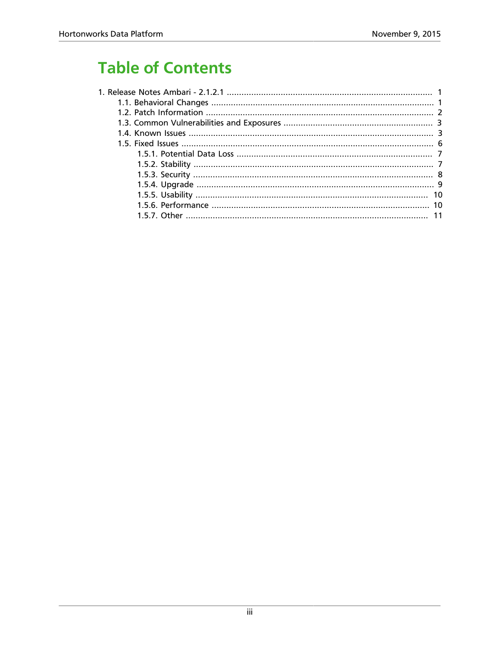# **Table of Contents**

| 10 |
|----|
|    |
|    |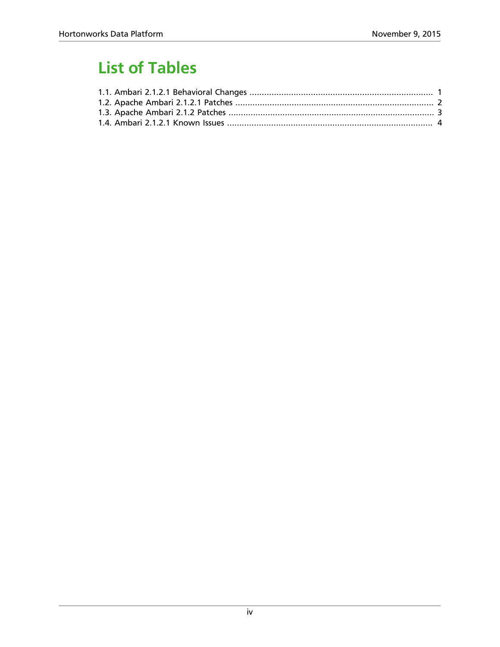# **List of Tables**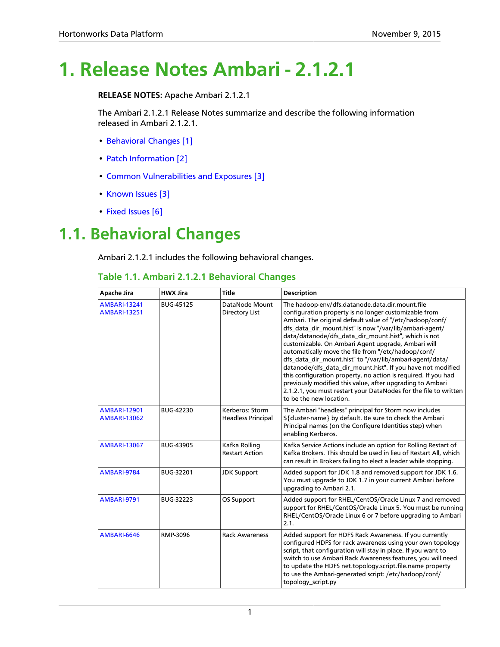# <span id="page-4-0"></span>**1. Release Notes Ambari - 2.1.2.1**

**RELEASE NOTES:** Apache Ambari 2.1.2.1

The Ambari 2.1.2.1 Release Notes summarize and describe the following information released in Ambari 2.1.2.1.

- [Behavioral Changes \[1\]](#page-4-1)
- [Patch Information \[2\]](#page-5-0)
- [Common Vulnerabilities and Exposures \[3\]](#page-6-0)
- [Known Issues \[3\]](#page-6-1)
- [Fixed Issues \[6\]](#page-9-0)

#### <span id="page-4-2"></span><span id="page-4-1"></span>**1.1. Behavioral Changes**

Ambari 2.1.2.1 includes the following behavioral changes.

#### **Table 1.1. Ambari 2.1.2.1 Behavioral Changes**

| <b>Apache Jira</b>                         | <b>HWX Jira</b>  | <b>Title</b>                                 | <b>Description</b>                                                                                                                                                                                                                                                                                                                                                                                                                                                                                                                                                                                                                                                                                                                                            |
|--------------------------------------------|------------------|----------------------------------------------|---------------------------------------------------------------------------------------------------------------------------------------------------------------------------------------------------------------------------------------------------------------------------------------------------------------------------------------------------------------------------------------------------------------------------------------------------------------------------------------------------------------------------------------------------------------------------------------------------------------------------------------------------------------------------------------------------------------------------------------------------------------|
| <b>AMBARI-13241</b><br><b>AMBARI-13251</b> | BUG-45125        | DataNode Mount<br>Directory List             | The hadoop-env/dfs.datanode.data.dir.mount.file<br>configuration property is no longer customizable from<br>Ambari. The original default value of "/etc/hadoop/conf/<br>dfs_data_dir_mount.hist" is now "/var/lib/ambari-agent/<br>data/datanode/dfs_data_dir_mount.hist", which is not<br>customizable. On Ambari Agent upgrade, Ambari will<br>automatically move the file from "/etc/hadoop/conf/<br>dfs_data_dir_mount.hist" to "/var/lib/ambari-agent/data/<br>datanode/dfs_data_dir_mount.hist". If you have not modified<br>this configuration property, no action is required. If you had<br>previously modified this value, after upgrading to Ambari<br>2.1.2.1, you must restart your DataNodes for the file to written<br>to be the new location. |
| <b>AMBARI-12901</b><br><b>AMBARI-13062</b> | BUG-42230        | Kerberos: Storm<br><b>Headless Principal</b> | The Ambari "headless" principal for Storm now includes<br>\${cluster-name} by default. Be sure to check the Ambari<br>Principal names (on the Configure Identities step) when<br>enabling Kerberos.                                                                                                                                                                                                                                                                                                                                                                                                                                                                                                                                                           |
| <b>AMBARI-13067</b>                        | <b>BUG-43905</b> | Kafka Rolling<br><b>Restart Action</b>       | Kafka Service Actions include an option for Rolling Restart of<br>Kafka Brokers. This should be used in lieu of Restart All, which<br>can result in Brokers failing to elect a leader while stopping.                                                                                                                                                                                                                                                                                                                                                                                                                                                                                                                                                         |
| AMBARI-9784                                | BUG-32201        | <b>JDK Support</b>                           | Added support for JDK 1.8 and removed support for JDK 1.6.<br>You must upgrade to JDK 1.7 in your current Ambari before<br>upgrading to Ambari 2.1.                                                                                                                                                                                                                                                                                                                                                                                                                                                                                                                                                                                                           |
| AMBARI-9791                                | BUG-32223        | OS Support                                   | Added support for RHEL/CentOS/Oracle Linux 7 and removed<br>support for RHEL/CentOS/Oracle Linux 5. You must be running<br>RHEL/CentOS/Oracle Linux 6 or 7 before upgrading to Ambari<br>2.1.                                                                                                                                                                                                                                                                                                                                                                                                                                                                                                                                                                 |
| AMBARI-6646                                | RMP-3096         | <b>Rack Awareness</b>                        | Added support for HDFS Rack Awareness. If you currently<br>configured HDFS for rack awareness using your own topology<br>script, that configuration will stay in place. If you want to<br>switch to use Ambari Rack Awareness features, you will need<br>to update the HDFS net.topology.script.file.name property<br>to use the Ambari-generated script: /etc/hadoop/conf/<br>topology_script.py                                                                                                                                                                                                                                                                                                                                                             |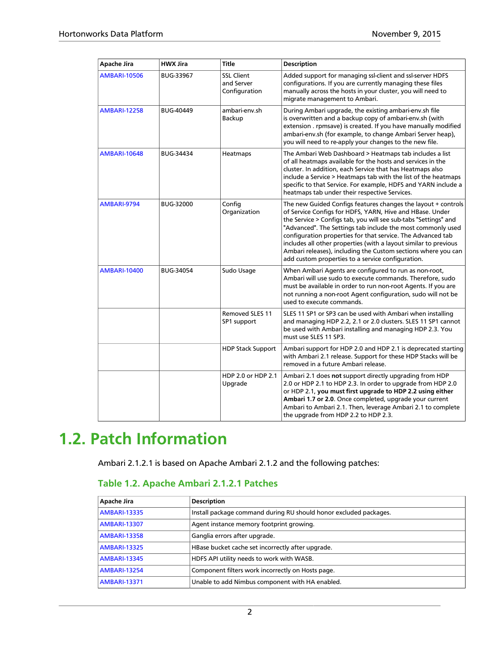| <b>Apache Jira</b>  | <b>HWX Jira</b> | <b>Title</b>                                     | <b>Description</b>                                                                                                                                                                                                                                                                                                                                                                                                                                                                                                   |
|---------------------|-----------------|--------------------------------------------------|----------------------------------------------------------------------------------------------------------------------------------------------------------------------------------------------------------------------------------------------------------------------------------------------------------------------------------------------------------------------------------------------------------------------------------------------------------------------------------------------------------------------|
| <b>AMBARI-10506</b> | BUG-33967       | <b>SSL Client</b><br>and Server<br>Configuration | Added support for managing ssl-client and ssl-server HDFS<br>configurations. If you are currently managing these files<br>manually across the hosts in your cluster, you will need to<br>migrate management to Ambari.                                                                                                                                                                                                                                                                                               |
| <b>AMBARI-12258</b> | BUG-40449       | ambari-env.sh<br>Backup                          | During Ambari upgrade, the existing ambari-env.sh file<br>is overwritten and a backup copy of ambari-env.sh (with<br>extension . rpmsave) is created. If you have manually modified<br>ambari-env.sh (for example, to change Ambari Server heap),<br>you will need to re-apply your changes to the new file.                                                                                                                                                                                                         |
| <b>AMBARI-10648</b> | BUG-34434       | Heatmaps                                         | The Ambari Web Dashboard > Heatmaps tab includes a list<br>of all heatmaps available for the hosts and services in the<br>cluster. In addition, each Service that has Heatmaps also<br>include a Service > Heatmaps tab with the list of the heatmaps<br>specific to that Service. For example, HDFS and YARN include a<br>heatmaps tab under their respective Services.                                                                                                                                             |
| AMBARI-9794         | BUG-32000       | Config<br>Organization                           | The new Guided Configs features changes the layout + controls<br>of Service Configs for HDFS, YARN, Hive and HBase. Under<br>the Service > Configs tab, you will see sub-tabs "Settings" and<br>"Advanced". The Settings tab include the most commonly used<br>configuration properties for that service. The Advanced tab<br>includes all other properties (with a layout similar to previous<br>Ambari releases), including the Custom sections where you can<br>add custom properties to a service configuration. |
| <b>AMBARI-10400</b> | BUG-34054       | Sudo Usage                                       | When Ambari Agents are configured to run as non-root,<br>Ambari will use sudo to execute commands. Therefore, sudo<br>must be available in order to run non-root Agents. If you are<br>not running a non-root Agent configuration, sudo will not be<br>used to execute commands.                                                                                                                                                                                                                                     |
|                     |                 | <b>Removed SLES 11</b><br>SP1 support            | SLES 11 SP1 or SP3 can be used with Ambari when installing<br>and managing HDP 2.2, 2.1 or 2.0 clusters. SLES 11 SP1 cannot<br>be used with Ambari installing and managing HDP 2.3. You<br>must use SLES 11 SP3.                                                                                                                                                                                                                                                                                                     |
|                     |                 | <b>HDP Stack Support</b>                         | Ambari support for HDP 2.0 and HDP 2.1 is deprecated starting<br>with Ambari 2.1 release. Support for these HDP Stacks will be<br>removed in a future Ambari release.                                                                                                                                                                                                                                                                                                                                                |
|                     |                 | HDP 2.0 or HDP 2.1<br>Upgrade                    | Ambari 2.1 does not support directly upgrading from HDP<br>2.0 or HDP 2.1 to HDP 2.3. In order to upgrade from HDP 2.0<br>or HDP 2.1, you must first upgrade to HDP 2.2 using either<br>Ambari 1.7 or 2.0. Once completed, upgrade your current<br>Ambari to Ambari 2.1. Then, leverage Ambari 2.1 to complete<br>the upgrade from HDP 2.2 to HDP 2.3.                                                                                                                                                               |

# <span id="page-5-0"></span>**1.2. Patch Information**

Ambari 2.1.2.1 is based on Apache Ambari 2.1.2 and the following patches:

#### <span id="page-5-1"></span>**Table 1.2. Apache Ambari 2.1.2.1 Patches**

| Apache Jira         | <b>Description</b>                                                |
|---------------------|-------------------------------------------------------------------|
| <b>AMBARI-13335</b> | Install package command during RU should honor excluded packages. |
| <b>AMBARI-13307</b> | Agent instance memory footprint growing.                          |
| <b>AMBARI-13358</b> | Ganglia errors after upgrade.                                     |
| <b>AMBARI-13325</b> | HBase bucket cache set incorrectly after upgrade.                 |
| <b>AMBARI-13345</b> | HDFS API utility needs to work with WASB.                         |
| <b>AMBARI-13254</b> | Component filters work incorrectly on Hosts page.                 |
| <b>AMBARI-13371</b> | Unable to add Nimbus component with HA enabled.                   |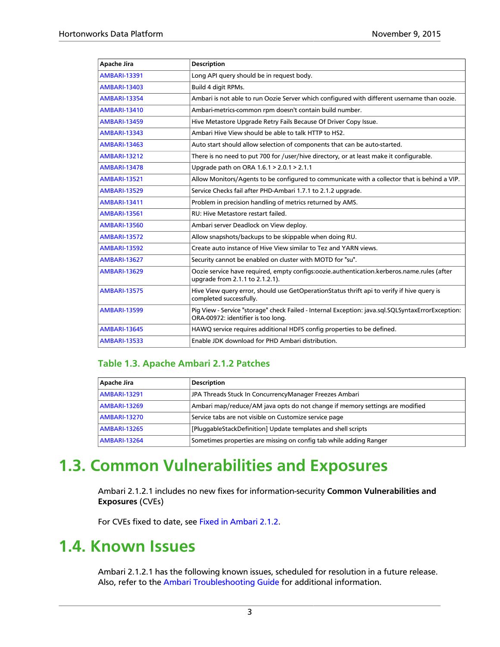| <b>Apache Jira</b>  | <b>Description</b>                                                                                                                      |
|---------------------|-----------------------------------------------------------------------------------------------------------------------------------------|
| <b>AMBARI-13391</b> | Long API query should be in request body.                                                                                               |
| <b>AMBARI-13403</b> | Build 4 digit RPMs.                                                                                                                     |
| <b>AMBARI-13354</b> | Ambari is not able to run Oozie Server which configured with different username than oozie.                                             |
| <b>AMBARI-13410</b> | Ambari-metrics-common rpm doesn't contain build number.                                                                                 |
| <b>AMBARI-13459</b> | Hive Metastore Upgrade Retry Fails Because Of Driver Copy Issue.                                                                        |
| <b>AMBARI-13343</b> | Ambari Hive View should be able to talk HTTP to HS2.                                                                                    |
| <b>AMBARI-13463</b> | Auto start should allow selection of components that can be auto-started.                                                               |
| <b>AMBARI-13212</b> | There is no need to put 700 for /user/hive directory, or at least make it configurable.                                                 |
| <b>AMBARI-13478</b> | Upgrade path on ORA 1.6.1 > 2.0.1 > 2.1.1                                                                                               |
| <b>AMBARI-13521</b> | Allow Monitors/Agents to be configured to communicate with a collector that is behind a VIP.                                            |
| <b>AMBARI-13529</b> | Service Checks fail after PHD-Ambari 1.7.1 to 2.1.2 upgrade.                                                                            |
| <b>AMBARI-13411</b> | Problem in precision handling of metrics returned by AMS.                                                                               |
| <b>AMBARI-13561</b> | RU: Hive Metastore restart failed.                                                                                                      |
| <b>AMBARI-13560</b> | Ambari server Deadlock on View deploy.                                                                                                  |
| <b>AMBARI-13572</b> | Allow snapshots/backups to be skippable when doing RU.                                                                                  |
| <b>AMBARI-13592</b> | Create auto instance of Hive View similar to Tez and YARN views.                                                                        |
| <b>AMBARI-13627</b> | Security cannot be enabled on cluster with MOTD for "su".                                                                               |
| <b>AMBARI-13629</b> | Oozie service have required, empty configs:oozie.authentication.kerberos.name.rules (after<br>upgrade from 2.1.1 to 2.1.2.1).           |
| <b>AMBARI-13575</b> | Hive View query error, should use GetOperationStatus thrift api to verify if hive query is<br>completed successfully.                   |
| <b>AMBARI-13599</b> | Pig View - Service "storage" check Failed - Internal Exception: java.sql.SQLSyntaxErrorException:<br>ORA-00972: identifier is too long. |
| <b>AMBARI-13645</b> | HAWQ service requires additional HDFS config properties to be defined.                                                                  |
| <b>AMBARI-13533</b> | Enable JDK download for PHD Ambari distribution.                                                                                        |

#### <span id="page-6-2"></span>**Table 1.3. Apache Ambari 2.1.2 Patches**

| Apache Jira         | <b>Description</b>                                                           |
|---------------------|------------------------------------------------------------------------------|
| <b>AMBARI-13291</b> | JPA Threads Stuck In ConcurrencyManager Freezes Ambari                       |
| <b>AMBARI-13269</b> | Ambari map/reduce/AM java opts do not change if memory settings are modified |
| <b>AMBARI-13270</b> | Service tabs are not visible on Customize service page                       |
| <b>AMBARI-13265</b> | [PluggableStackDefinition] Update templates and shell scripts                |
| <b>AMBARI-13264</b> | Sometimes properties are missing on config tab while adding Ranger           |

#### <span id="page-6-0"></span>**1.3. Common Vulnerabilities and Exposures**

Ambari 2.1.2.1 includes no new fixes for information-security **Common Vulnerabilities and Exposures** (CVEs)

For CVEs fixed to date, see [Fixed in Ambari 2.1.2.](https://cwiki.apache.org/confluence/display/AMBARI/Ambari+Vulnerabilities#AmbariVulnerabilities-FixedinAmbari2.1.2)

#### <span id="page-6-1"></span>**1.4. Known Issues**

Ambari 2.1.2.1 has the following known issues, scheduled for resolution in a future release. Also, refer to the [Ambari Troubleshooting Guide](https://dev.hortonworks.com.s3.amazonaws.com/HDPDocuments/Ambari-2.1.2.1/bk_ambari_troubleshooting/content/index.html) for additional information.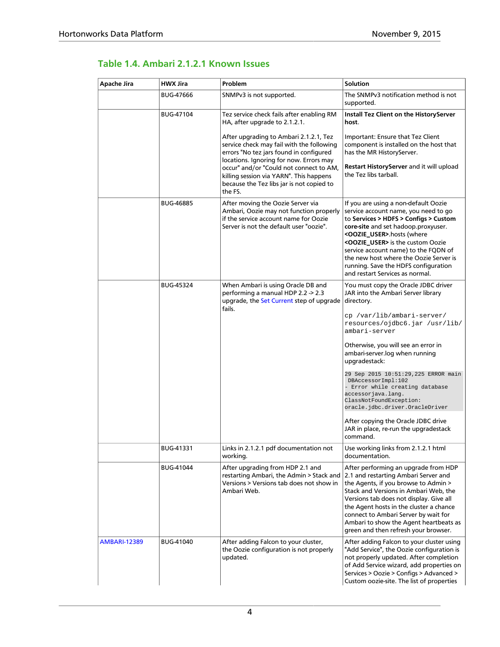#### <span id="page-7-0"></span>**Table 1.4. Ambari 2.1.2.1 Known Issues**

| Apache Jira         | <b>HWX Jira</b>  | Problem                                                                                                                                                                                                                                                                                                                                                                                               | <b>Solution</b>                                                                                                                                                                                                                                                                                                                                                                                                                                                                                                                                     |
|---------------------|------------------|-------------------------------------------------------------------------------------------------------------------------------------------------------------------------------------------------------------------------------------------------------------------------------------------------------------------------------------------------------------------------------------------------------|-----------------------------------------------------------------------------------------------------------------------------------------------------------------------------------------------------------------------------------------------------------------------------------------------------------------------------------------------------------------------------------------------------------------------------------------------------------------------------------------------------------------------------------------------------|
|                     | <b>BUG-47666</b> | SNMPv3 is not supported.                                                                                                                                                                                                                                                                                                                                                                              | The SNMPv3 notification method is not<br>supported.                                                                                                                                                                                                                                                                                                                                                                                                                                                                                                 |
|                     | BUG-47104        | Tez service check fails after enabling RM<br>HA, after upgrade to 2.1.2.1.<br>After upgrading to Ambari 2.1.2.1, Tez<br>service check may fail with the following<br>errors "No tez jars found in configured<br>locations. Ignoring for now. Errors may<br>occur" and/or "Could not connect to AM,<br>killing session via YARN". This happens<br>because the Tez libs jar is not copied to<br>the FS. | Install Tez Client on the HistoryServer<br>host.<br>Important: Ensure that Tez Client<br>component is installed on the host that<br>has the MR HistoryServer.<br>Restart HistoryServer and it will upload<br>the Tez libs tarball.                                                                                                                                                                                                                                                                                                                  |
|                     | <b>BUG-46885</b> | After moving the Oozie Server via<br>Ambari, Oozie may not function properly<br>if the service account name for Oozie<br>Server is not the default user "oozie".                                                                                                                                                                                                                                      | If you are using a non-default Oozie<br>service account name, you need to go<br>to Services > HDFS > Configs > Custom<br>core-site and set hadoop.proxyuser.<br><oozie_user>.hosts (where<br/><oozie_user> is the custom Oozie<br/>service account name) to the FQDN of<br/>the new host where the Oozie Server is<br/>running. Save the HDFS configuration<br/>and restart Services as normal.</oozie_user></oozie_user>                                                                                                                           |
|                     | <b>BUG-45324</b> | When Ambari is using Oracle DB and<br>performing a manual HDP 2.2 -> 2.3<br>upgrade, the Set Current step of upgrade<br>fails.                                                                                                                                                                                                                                                                        | You must copy the Oracle JDBC driver<br>JAR into the Ambari Server library<br>directory.<br>cp /var/lib/ambari-server/<br>resources/ojdbc6.jar /usr/lib/<br>ambari-server<br>Otherwise, you will see an error in<br>ambari-server.log when running<br>upgradestack:<br>29 Sep 2015 10:51:29,225 ERROR main<br>DBAccessorImpl:102<br>- Error while creating database<br>accessorjava.lang.<br>ClassNotFoundException:<br>oracle.jdbc.driver.OracleDriver<br>After copying the Oracle JDBC drive<br>JAR in place, re-run the upgradestack<br>command. |
|                     | BUG-41331        | Links in 2.1.2.1 pdf documentation not<br>working.                                                                                                                                                                                                                                                                                                                                                    | Use working links from 2.1.2.1 html<br>documentation.                                                                                                                                                                                                                                                                                                                                                                                                                                                                                               |
|                     | BUG-41044        | After upgrading from HDP 2.1 and<br>restarting Ambari, the Admin > Stack and<br>Versions > Versions tab does not show in<br>Ambari Web.                                                                                                                                                                                                                                                               | After performing an upgrade from HDP<br>2.1 and restarting Ambari Server and<br>the Agents, if you browse to Admin ><br>Stack and Versions in Ambari Web, the<br>Versions tab does not display. Give all<br>the Agent hosts in the cluster a chance<br>connect to Ambari Server by wait for<br>Ambari to show the Agent heartbeats as<br>green and then refresh your browser.                                                                                                                                                                       |
| <b>AMBARI-12389</b> | BUG-41040        | After adding Falcon to your cluster,<br>the Oozie configuration is not properly<br>updated.                                                                                                                                                                                                                                                                                                           | After adding Falcon to your cluster using<br>"Add Service", the Oozie configuration is<br>not properly updated. After completion<br>of Add Service wizard, add properties on<br>Services > Oozie > Configs > Advanced ><br>Custom oozie-site. The list of properties                                                                                                                                                                                                                                                                                |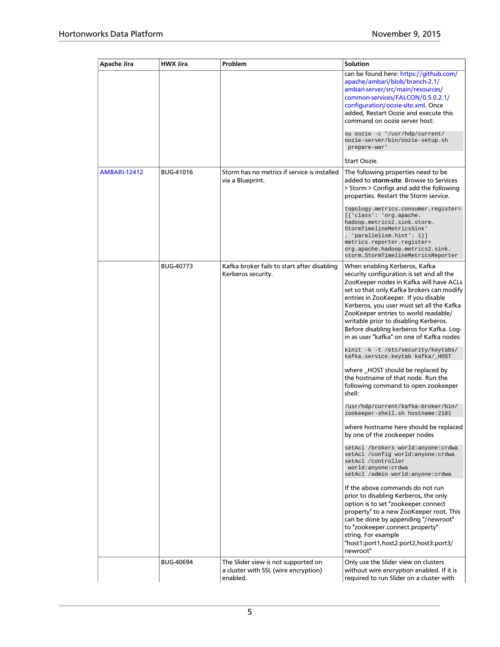| Apache Jira         | <b>HWX Jira</b>  | Problem                                                                                 | Solution                                                                                                                                                                                                                                                                                                                                                                                                                                                                 |
|---------------------|------------------|-----------------------------------------------------------------------------------------|--------------------------------------------------------------------------------------------------------------------------------------------------------------------------------------------------------------------------------------------------------------------------------------------------------------------------------------------------------------------------------------------------------------------------------------------------------------------------|
|                     |                  |                                                                                         | can be found here: https://github.com/<br>apache/ambari/blob/branch-2.1/<br>ambari-server/src/main/resources/<br>common-services/FALCON/0.5.0.2.1/<br>configuration/oozie-site.xml. Once<br>added, Restart Oozie and execute this<br>command on oozie server host:<br>su oozie -c '/usr/hdp/current/<br>oozie-server/bin/oozie-setup.sh                                                                                                                                  |
|                     |                  |                                                                                         | prepare-war'<br>Start Oozie.                                                                                                                                                                                                                                                                                                                                                                                                                                             |
| <b>AMBARI-12412</b> | <b>BUG-41016</b> | Storm has no metrics if service is installed<br>via a Blueprint.                        | The following properties need to be<br>added to storm-site. Browse to Services<br>> Storm > Configs and add the following<br>properties. Restart the Storm service.<br>topology.metrics.consumer.register=<br>[{'class': 'org.apache.<br>hadoop.metrics2.sink.storm.<br>StormTimelineMetricsSink'<br>'parallelism.hint': 1<br>metrics.reporter.register=<br>org.apache.hadoop.metrics2.sink.                                                                             |
|                     | <b>BUG-40773</b> | Kafka broker fails to start after disabling<br>Kerberos security.                       | storm.StormTimelineMetricsReporter<br>When enabling Kerberos, Kafka<br>security configuration is set and all the<br>ZooKeeper nodes in Kafka will have ACLs<br>set so that only Kafka brokers can modify<br>entries in ZooKeeper. If you disable<br>Kerberos, you user must set all the Kafka<br>ZooKeeper entries to world readable/<br>writable prior to disabling Kerberos.<br>Before disabling kerberos for Kafka. Log-<br>in as user "kafka" on one of Kafka nodes: |
|                     |                  |                                                                                         | kinit -k -t /etc/security/keytabs/<br>kafka.service.keytab kafka/_HOST                                                                                                                                                                                                                                                                                                                                                                                                   |
|                     |                  |                                                                                         | where _HOST should be replaced by<br>the hostname of that node. Run the<br>following command to open zookeeper<br>shell:                                                                                                                                                                                                                                                                                                                                                 |
|                     |                  |                                                                                         | /usr/hdp/current/kafka-broker/bin/<br>zookeeper-shell.sh hostname: 2181                                                                                                                                                                                                                                                                                                                                                                                                  |
|                     |                  |                                                                                         | where hostname here should be replaced<br>by one of the zookeeper nodes                                                                                                                                                                                                                                                                                                                                                                                                  |
|                     |                  |                                                                                         | setAcl /brokers world:anyone:crdwa<br>setAcl /config world: anyone: crdwa<br>setAcl /controller<br>world:anyone:crdwa<br>setAcl /admin world:anyone:crdwa                                                                                                                                                                                                                                                                                                                |
|                     |                  |                                                                                         | If the above commands do not run<br>prior to disabling Kerberos, the only<br>option is to set "zookeeper.connect<br>property" to a new ZooKeeper root. This<br>can be done by appending "/newroot"<br>to "zookeeper.connect.property"<br>string. For example<br>"host1:port1,host2:port2,host3:port3/<br>newroot"                                                                                                                                                        |
|                     | <b>BUG-40694</b> | The Slider view is not supported on<br>a cluster with SSL (wire encryption)<br>enabled. | Only use the Slider view on clusters<br>without wire encryption enabled. If it is<br>required to run Slider on a cluster with                                                                                                                                                                                                                                                                                                                                            |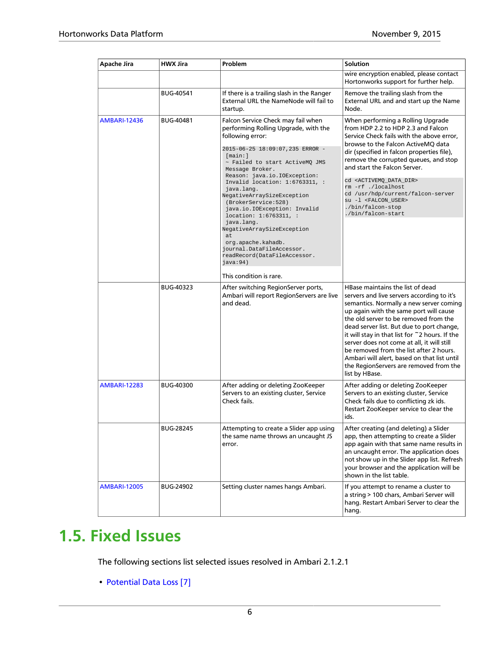| Apache Jira         | <b>HWX Jira</b>  | Problem                                                                                                                                                                                                                                                                                                                                                                                                                                                                                                                                                                         | <b>Solution</b>                                                                                                                                                                                                                                                                                                                                                                                                                                                                                                 |
|---------------------|------------------|---------------------------------------------------------------------------------------------------------------------------------------------------------------------------------------------------------------------------------------------------------------------------------------------------------------------------------------------------------------------------------------------------------------------------------------------------------------------------------------------------------------------------------------------------------------------------------|-----------------------------------------------------------------------------------------------------------------------------------------------------------------------------------------------------------------------------------------------------------------------------------------------------------------------------------------------------------------------------------------------------------------------------------------------------------------------------------------------------------------|
|                     |                  |                                                                                                                                                                                                                                                                                                                                                                                                                                                                                                                                                                                 | wire encryption enabled, please contact<br>Hortonworks support for further help.                                                                                                                                                                                                                                                                                                                                                                                                                                |
|                     | <b>BUG-40541</b> | If there is a trailing slash in the Ranger<br>External URL the NameNode will fail to<br>startup.                                                                                                                                                                                                                                                                                                                                                                                                                                                                                | Remove the trailing slash from the<br>External URL and and start up the Name<br>Node.                                                                                                                                                                                                                                                                                                                                                                                                                           |
| <b>AMBARI-12436</b> | BUG-40481        | Falcon Service Check may fail when<br>performing Rolling Upgrade, with the<br>following error:<br>2015-06-25 18:09:07,235 ERROR -<br>[main:]<br>~ Failed to start ActiveMO JMS<br>Message Broker.<br>Reason: java.io.IOException:<br>Invalid location: $1:6763311,$ :<br>java.lang.<br>NegativeArraySizeException<br>(BrokerService: 528)<br>java.io.IOException: Invalid<br>location: 1:6763311, :<br>java.lang.<br>NegativeArraySizeException<br>at<br>org.apache.kahadb.<br>journal.DataFileAccessor.<br>readRecord(DataFileAccessor.<br>java:94)<br>This condition is rare. | When performing a Rolling Upgrade<br>from HDP 2.2 to HDP 2.3 and Falcon<br>Service Check fails with the above error.<br>browse to the Falcon ActiveMQ data<br>dir (specified in falcon properties file),<br>remove the corrupted queues, and stop<br>and start the Falcon Server.<br>cd <activemq_data_dir><br/>rm -rf ./localhost<br/>cd /usr/hdp/current/falcon-server<br/>su -1 <falcon_user><br/>./bin/falcon-stop<br/>./bin/falcon-start</falcon_user></activemq_data_dir>                                 |
|                     | BUG-40323        | After switching RegionServer ports,<br>Ambari will report RegionServers are live<br>and dead.                                                                                                                                                                                                                                                                                                                                                                                                                                                                                   | HBase maintains the list of dead<br>servers and live servers according to it's<br>semantics. Normally a new server coming<br>up again with the same port will cause<br>the old server to be removed from the<br>dead server list. But due to port change,<br>it will stay in that list for ~2 hours. If the<br>server does not come at all, it will still<br>be removed from the list after 2 hours.<br>Ambari will alert, based on that list until<br>the RegionServers are removed from the<br>list by HBase. |
| <b>AMBARI-12283</b> | <b>BUG-40300</b> | After adding or deleting ZooKeeper<br>Servers to an existing cluster, Service<br>Check fails.                                                                                                                                                                                                                                                                                                                                                                                                                                                                                   | After adding or deleting ZooKeeper<br>Servers to an existing cluster, Service<br>Check fails due to conflicting zk ids.<br>Restart ZooKeeper service to clear the<br>ids.                                                                                                                                                                                                                                                                                                                                       |
|                     | <b>BUG-28245</b> | Attempting to create a Slider app using<br>the same name throws an uncaught JS<br>error.                                                                                                                                                                                                                                                                                                                                                                                                                                                                                        | After creating (and deleting) a Slider<br>app, then attempting to create a Slider<br>app again with that same name results in<br>an uncaught error. The application does<br>not show up in the Slider app list. Refresh<br>your browser and the application will be<br>shown in the list table.                                                                                                                                                                                                                 |
| <b>AMBARI-12005</b> | BUG-24902        | Setting cluster names hangs Ambari.                                                                                                                                                                                                                                                                                                                                                                                                                                                                                                                                             | If you attempt to rename a cluster to<br>a string > 100 chars, Ambari Server will<br>hang. Restart Ambari Server to clear the<br>hang.                                                                                                                                                                                                                                                                                                                                                                          |

# <span id="page-9-0"></span>**1.5. Fixed Issues**

The following sections list selected issues resolved in Ambari 2.1.2.1

• [Potential Data Loss \[7\]](#page-10-0)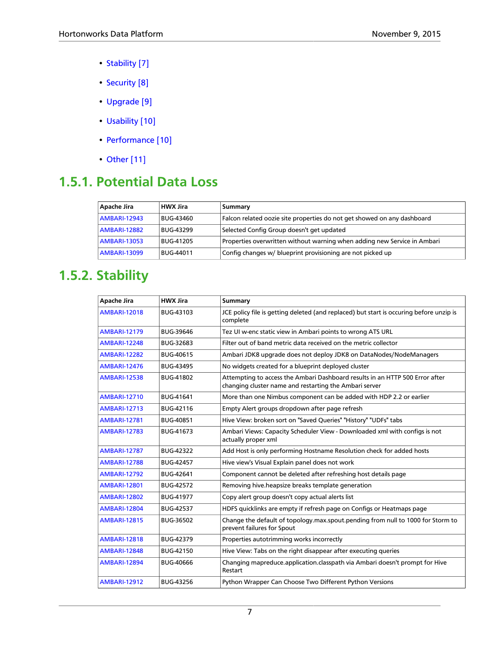- [Stability \[7\]](#page-10-1)
- [Security \[8\]](#page-11-0)
- [Upgrade \[9\]](#page-12-0)
- [Usability \[10\]](#page-13-0)
- [Performance \[10\]](#page-13-1)
- [Other \[11\]](#page-14-0)

#### <span id="page-10-0"></span>**1.5.1. Potential Data Loss**

| Apache Jira         | <b>HWX Jira</b>  | Summary                                                                  |
|---------------------|------------------|--------------------------------------------------------------------------|
| <b>AMBARI-12943</b> | <b>BUG-43460</b> | Falcon related oozie site properties do not get showed on any dashboard  |
| <b>AMBARI-12882</b> | <b>BUG-43299</b> | Selected Config Group doesn't get updated                                |
| <b>AMBARI-13053</b> | <b>BUG-41205</b> | Properties overwritten without warning when adding new Service in Ambari |
| <b>AMBARI-13099</b> | BUG-44011        | Config changes w/ blueprint provisioning are not picked up               |

#### <span id="page-10-1"></span>**1.5.2. Stability**

| <b>Apache Jira</b>  | <b>HWX Jira</b>  | <b>Summary</b>                                                                                                                         |
|---------------------|------------------|----------------------------------------------------------------------------------------------------------------------------------------|
| <b>AMBARI-12018</b> | BUG-43103        | JCE policy file is getting deleted (and replaced) but start is occuring before unzip is<br>complete                                    |
| <b>AMBARI-12179</b> | BUG-39646        | Tez UI w-enc static view in Ambari points to wrong ATS URL                                                                             |
| <b>AMBARI-12248</b> | BUG-32683        | Filter out of band metric data received on the metric collector                                                                        |
| <b>AMBARI-12282</b> | BUG-40615        | Ambari JDK8 upgrade does not deploy JDK8 on DataNodes/NodeManagers                                                                     |
| <b>AMBARI-12476</b> | BUG-43495        | No widgets created for a blueprint deployed cluster                                                                                    |
| <b>AMBARI-12538</b> | <b>BUG-41802</b> | Attempting to access the Ambari Dashboard results in an HTTP 500 Error after<br>changing cluster name and restarting the Ambari server |
| <b>AMBARI-12710</b> | BUG-41641        | More than one Nimbus component can be added with HDP 2.2 or earlier                                                                    |
| <b>AMBARI-12713</b> | BUG-42116        | Empty Alert groups dropdown after page refresh                                                                                         |
| <b>AMBARI-12781</b> | BUG-40851        | Hive View: broken sort on "Saved Queries" "History" "UDFs" tabs                                                                        |
| <b>AMBARI-12783</b> | BUG-41673        | Ambari Views: Capacity Scheduler View - Downloaded xml with configs is not<br>actually proper xml                                      |
| <b>AMBARI-12787</b> | BUG-42322        | Add Host is only performing Hostname Resolution check for added hosts                                                                  |
| <b>AMBARI-12788</b> | <b>BUG-42457</b> | Hive view's Visual Explain panel does not work                                                                                         |
| <b>AMBARI-12792</b> | BUG-42641        | Component cannot be deleted after refreshing host details page                                                                         |
| <b>AMBARI-12801</b> | <b>BUG-42572</b> | Removing hive heapsize breaks template generation                                                                                      |
| <b>AMBARI-12802</b> | <b>BUG-41977</b> | Copy alert group doesn't copy actual alerts list                                                                                       |
| <b>AMBARI-12804</b> | <b>BUG-42537</b> | HDFS quicklinks are empty if refresh page on Configs or Heatmaps page                                                                  |
| <b>AMBARI-12815</b> | BUG-36502        | Change the default of topology.max.spout.pending from null to 1000 for Storm to<br>prevent failures for Spout                          |
| <b>AMBARI-12818</b> | BUG-42379        | Properties autotrimming works incorrectly                                                                                              |
| <b>AMBARI-12848</b> | BUG-42150        | Hive View: Tabs on the right disappear after executing queries                                                                         |
| <b>AMBARI-12894</b> | <b>BUG-40666</b> | Changing mapreduce.application.classpath via Ambari doesn't prompt for Hive<br>Restart                                                 |
| <b>AMBARI-12912</b> | BUG-43256        | Python Wrapper Can Choose Two Different Python Versions                                                                                |
|                     |                  |                                                                                                                                        |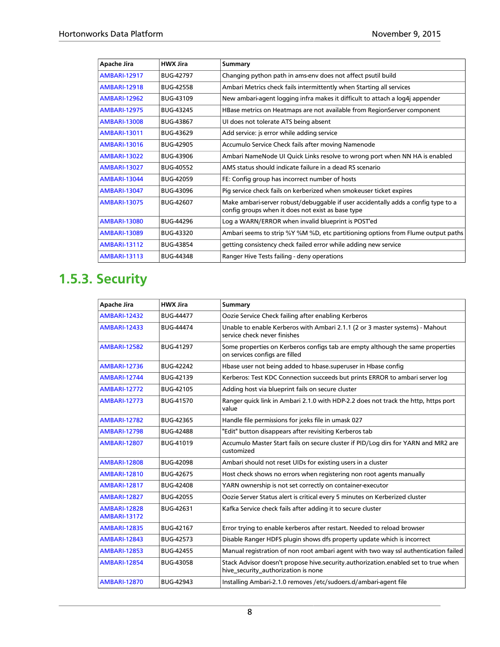| Apache Jira         | <b>HWX Jira</b>  | Summary                                                                                                                                |
|---------------------|------------------|----------------------------------------------------------------------------------------------------------------------------------------|
| <b>AMBARI-12917</b> | <b>BUG-42797</b> | Changing python path in ams-env does not affect psutil build                                                                           |
| <b>AMBARI-12918</b> | <b>BUG-42558</b> | Ambari Metrics check fails intermittently when Starting all services                                                                   |
| <b>AMBARI-12962</b> | <b>BUG-43109</b> | New ambari-agent logging infra makes it difficult to attach a log4j appender                                                           |
| <b>AMBARI-12975</b> | <b>BUG-43245</b> | HBase metrics on Heatmaps are not available from RegionServer component                                                                |
| <b>AMBARI-13008</b> | <b>BUG-43867</b> | UI does not tolerate ATS being absent                                                                                                  |
| <b>AMBARI-13011</b> | <b>BUG-43629</b> | Add service: is error while adding service                                                                                             |
| <b>AMBARI-13016</b> | <b>BUG-42905</b> | Accumulo Service Check fails after moving Namenode                                                                                     |
| <b>AMBARI-13022</b> | BUG-43906        | Ambari NameNode UI Quick Links resolve to wrong port when NN HA is enabled                                                             |
| <b>AMBARI-13027</b> | <b>BUG-40552</b> | AMS status should indicate failure in a dead RS scenario                                                                               |
| <b>AMBARI-13044</b> | <b>BUG-42059</b> | FE: Config group has incorrect number of hosts                                                                                         |
| <b>AMBARI-13047</b> | <b>BUG-43096</b> | Pig service check fails on kerberized when smokeuser ticket expires                                                                    |
| <b>AMBARI-13075</b> | <b>BUG-42607</b> | Make ambari-server robust/debuggable if user accidentally adds a config type to a<br>config groups when it does not exist as base type |
| <b>AMBARI-13080</b> | <b>BUG-44296</b> | Log a WARN/ERROR when invalid blueprint is POST'ed                                                                                     |
| <b>AMBARI-13089</b> | BUG-43320        | Ambari seems to strip %Y %M %D, etc partitioning options from Flume output paths                                                       |
| <b>AMBARI-13112</b> | <b>BUG-43854</b> | getting consistency check failed error while adding new service                                                                        |
| <b>AMBARI-13113</b> | <b>BUG-44348</b> | Ranger Hive Tests failing - deny operations                                                                                            |

### <span id="page-11-0"></span>**1.5.3. Security**

| <b>Apache Jira</b>                         | <b>HWX Jira</b>  | <b>Summary</b>                                                                                                            |
|--------------------------------------------|------------------|---------------------------------------------------------------------------------------------------------------------------|
| <b>AMBARI-12432</b>                        | <b>BUG-44477</b> | Oozie Service Check failing after enabling Kerberos                                                                       |
| <b>AMBARI-12433</b>                        | <b>BUG-44474</b> | Unable to enable Kerberos with Ambari 2.1.1 (2 or 3 master systems) - Mahout<br>service check never finishes              |
| <b>AMBARI-12582</b>                        | <b>BUG-41297</b> | Some properties on Kerberos configs tab are empty although the same properties<br>on services configs are filled          |
| <b>AMBARI-12736</b>                        | <b>BUG-42242</b> | Hbase user not being added to hbase superuser in Hbase config                                                             |
| <b>AMBARI-12744</b>                        | BUG-42139        | Kerberos: Test KDC Connection succeeds but prints ERROR to ambari server log                                              |
| <b>AMBARI-12772</b>                        | BUG-42105        | Adding host via blueprint fails on secure cluster                                                                         |
| <b>AMBARI-12773</b>                        | <b>BUG-41570</b> | Ranger quick link in Ambari 2.1.0 with HDP-2.2 does not track the http, https port<br>value                               |
| <b>AMBARI-12782</b>                        | <b>BUG-42365</b> | Handle file permissions for jceks file in umask 027                                                                       |
| <b>AMBARI-12798</b>                        | <b>BUG-42488</b> | "Edit" button disappears after revisiting Kerberos tab                                                                    |
| <b>AMBARI-12807</b>                        | BUG-41019        | Accumulo Master Start fails on secure cluster if PID/Log dirs for YARN and MR2 are<br>customized                          |
| <b>AMBARI-12808</b>                        | <b>BUG-42098</b> | Ambari should not reset UIDs for existing users in a cluster                                                              |
| <b>AMBARI-12810</b>                        | <b>BUG-42675</b> | Host check shows no errors when registering non root agents manually                                                      |
| <b>AMBARI-12817</b>                        | <b>BUG-42408</b> | YARN ownership is not set correctly on container-executor                                                                 |
| <b>AMBARI-12827</b>                        | <b>BUG-42055</b> | Oozie Server Status alert is critical every 5 minutes on Kerberized cluster                                               |
| <b>AMBARI-12828</b><br><b>AMBARI-13172</b> | BUG-42631        | Kafka Service check fails after adding it to secure cluster                                                               |
| <b>AMBARI-12835</b>                        | BUG-42167        | Error trying to enable kerberos after restart. Needed to reload browser                                                   |
| <b>AMBARI-12843</b>                        | <b>BUG-42573</b> | Disable Ranger HDFS plugin shows dfs property update which is incorrect                                                   |
| <b>AMBARI-12853</b>                        | <b>BUG-42455</b> | Manual registration of non root ambari agent with two way ssl authentication failed                                       |
| <b>AMBARI-12854</b>                        | <b>BUG-43058</b> | Stack Advisor doesn't propose hive security authorization enabled set to true when<br>hive_security_authorization is none |
| <b>AMBARI-12870</b>                        | BUG-42943        | Installing Ambari-2.1.0 removes /etc/sudoers.d/ambari-agent file                                                          |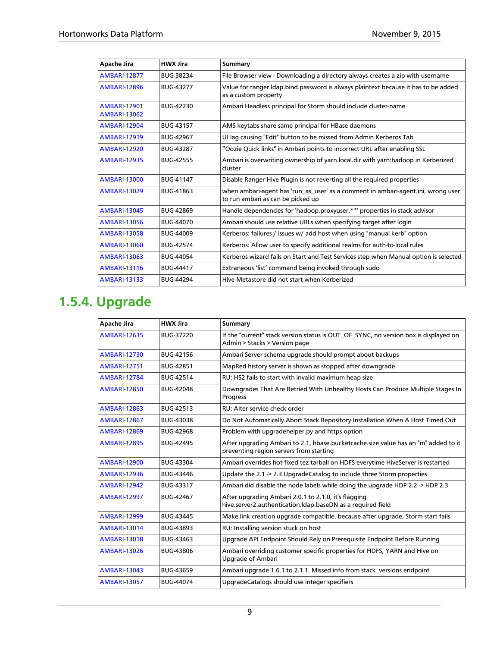| Apache Jira                                | <b>HWX Jira</b>  | <b>Summary</b>                                                                                                        |
|--------------------------------------------|------------------|-----------------------------------------------------------------------------------------------------------------------|
| <b>AMBARI-12877</b>                        | BUG-38234        | File Browser view - Downloading a directory always creates a zip with username                                        |
| <b>AMBARI-12896</b>                        | <b>BUG-43277</b> | Value for ranger. Idap. bind. password is always plaintext because it has to be added<br>as a custom property         |
| <b>AMBARI-12901</b><br><b>AMBARI-13062</b> | BUG-42230        | Ambari Headless principal for Storm should include cluster-name                                                       |
| <b>AMBARI-12904</b>                        | <b>BUG-43157</b> | AMS keytabs share same principal for HBase daemons                                                                    |
| <b>AMBARI-12919</b>                        | <b>BUG-42967</b> | UI lag causing "Edit" button to be missed from Admin Kerberos Tab                                                     |
| <b>AMBARI-12920</b>                        | <b>BUG-43287</b> | "Oozie Quick links" in Ambari points to incorrect URL after enabling SSL                                              |
| <b>AMBARI-12935</b>                        | <b>BUG-42555</b> | Ambari is overwriting ownership of yarn.local.dir with yarn:hadoop in Kerberized<br>cluster                           |
| <b>AMBARI-13000</b>                        | <b>BUG-41147</b> | Disable Ranger Hive Plugin is not reverting all the required properties                                               |
| <b>AMBARI-13029</b>                        | BUG-41863        | when ambari-agent has 'run_as_user' as a comment in ambari-agent.ini, wrong user<br>to run ambari as can be picked up |
| <b>AMBARI-13045</b>                        | <b>BUG-42869</b> | Handle dependencies for 'hadoop.proxyuser.**' properties in stack advisor                                             |
| <b>AMBARI-13056</b>                        | <b>BUG-44070</b> | Ambari should use relative URLs when specifying target after login                                                    |
| <b>AMBARI-13058</b>                        | <b>BUG-44009</b> | Kerberos: failures / issues w/ add host when using "manual kerb" option                                               |
| <b>AMBARI-13060</b>                        | <b>BUG-42574</b> | Kerberos: Allow user to specify additional realms for auth-to-local rules                                             |
| <b>AMBARI-13063</b>                        | <b>BUG-44054</b> | Kerberos wizard fails on Start and Test Services step when Manual option is selected                                  |
| <b>AMBARI-13116</b>                        | <b>BUG-44417</b> | Extraneous 'list' command being invoked through sudo                                                                  |
| <b>AMBARI-13133</b>                        | <b>BUG-44294</b> | Hive Metastore did not start when Kerberized                                                                          |

### <span id="page-12-0"></span>**1.5.4. Upgrade**

| Apache Jira         | <b>HWX Jira</b>  | <b>Summary</b>                                                                                                                |
|---------------------|------------------|-------------------------------------------------------------------------------------------------------------------------------|
| <b>AMBARI-12635</b> | BUG-37220        | If the "current" stack version status is OUT_OF_SYNC, no version box is displayed on<br>Admin > Stacks > Version page         |
| <b>AMBARI-12730</b> | BUG-42156        | Ambari Server schema upgrade should prompt about backups                                                                      |
| <b>AMBARI-12751</b> | BUG-42851        | MapRed history server is shown as stopped after downgrade                                                                     |
| <b>AMBARI-12784</b> | BUG-42514        | RU: HS2 fails to start with invalid maximum heap size                                                                         |
| <b>AMBARI-12850</b> | <b>BUG-42048</b> | Downgrades That Are Retried With Unhealthy Hosts Can Produce Multiple Stages In<br>Progress                                   |
| <b>AMBARI-12863</b> | BUG-42513        | RU: Alter service check order                                                                                                 |
| <b>AMBARI-12867</b> | BUG-43038        | Do Not Automatically Abort Stack Repository Installation When A Host Timed Out                                                |
| <b>AMBARI-12869</b> | <b>BUG-42968</b> | Problem with upgradehelper.py and https option                                                                                |
| <b>AMBARI-12895</b> | <b>BUG-42495</b> | After upgrading Ambari to 2.1, hbase.bucketcache.size value has an "m" added to it<br>preventing region servers from starting |
| <b>AMBARI-12900</b> | BUG-43304        | Ambari overrides hot-fixed tez tarball on HDFS everytime HiveServer is restarted                                              |
| <b>AMBARI-12936</b> | BUG-43446        | Update the $2.1 \rightarrow 2.3$ Upgrade Catalog to include three Storm properties                                            |
| <b>AMBARI-12942</b> | BUG-43317        | Ambari did disable the node labels while doing the upgrade HDP 2.2 -> HDP 2.3                                                 |
| <b>AMBARI-12997</b> | <b>BUG-42467</b> | After upgrading Ambari 2.0.1 to 2.1.0, it's flagging<br>hive.server2.authentication.Idap.baseDN as a required field           |
| <b>AMBARI-12999</b> | <b>BUG-43445</b> | Make link creation upgrade compatible, because after upgrade, Storm start fails                                               |
| <b>AMBARI-13014</b> | BUG-43893        | RU: Installing version stuck on host                                                                                          |
| <b>AMBARI-13018</b> | BUG-43463        | Upgrade API Endpoint Should Rely on Prerequisite Endpoint Before Running                                                      |
| <b>AMBARI-13026</b> | BUG-43806        | Ambari overriding customer specific properties for HDFS, YARN and Hive on<br>Upgrade of Ambari                                |
| <b>AMBARI-13043</b> | <b>BUG-43659</b> | Ambari upgrade 1.6.1 to 2.1.1. Missed info from stack_versions endpoint                                                       |
| <b>AMBARI-13057</b> | <b>BUG-44074</b> | UpgradeCatalogs should use integer specifiers                                                                                 |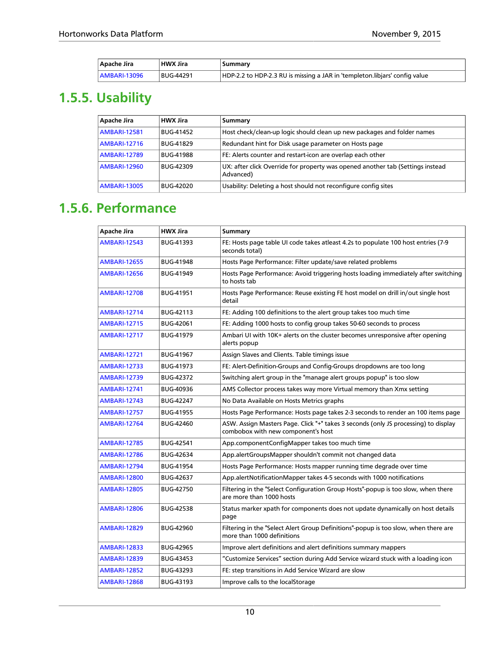| Apache Jira     | <b>HWX Jira</b> | Summary                                                                    |
|-----------------|-----------------|----------------------------------------------------------------------------|
| $ AMBARI-13096$ | BUG-44291       | HDP-2.2 to HDP-2.3 RU is missing a JAR in 'templeton.libjars' config value |

### <span id="page-13-0"></span>**1.5.5. Usability**

| Apache Jira         | <b>HWX Jira</b>  | Summary                                                                                     |
|---------------------|------------------|---------------------------------------------------------------------------------------------|
| <b>AMBARI-12581</b> | <b>BUG-41452</b> | Host check/clean-up logic should clean up new packages and folder names                     |
| <b>AMBARI-12716</b> | <b>BUG-41829</b> | Redundant hint for Disk usage parameter on Hosts page                                       |
| <b>AMBARI-12789</b> | <b>BUG-41988</b> | FE: Alerts counter and restart-icon are overlap each other                                  |
| <b>AMBARI-12960</b> | <b>BUG-42309</b> | UX: after click Override for property was opened another tab (Settings instead<br>Advanced) |
| <b>AMBARI-13005</b> | BUG-42020        | Usability: Deleting a host should not reconfigure config sites                              |

#### <span id="page-13-1"></span>**1.5.6. Performance**

| Apache Jira         | <b>HWX Jira</b>  | Summary                                                                                                                   |
|---------------------|------------------|---------------------------------------------------------------------------------------------------------------------------|
| <b>AMBARI-12543</b> | BUG-41393        | FE: Hosts page table UI code takes atleast 4.2s to populate 100 host entries (7-9<br>seconds total)                       |
| <b>AMBARI-12655</b> | <b>BUG-41948</b> | Hosts Page Performance: Filter update/save related problems                                                               |
| <b>AMBARI-12656</b> | <b>BUG-41949</b> | Hosts Page Performance: Avoid triggering hosts loading immediately after switching<br>to hosts tab                        |
| <b>AMBARI-12708</b> | <b>BUG-41951</b> | Hosts Page Performance: Reuse existing FE host model on drill in/out single host<br>detail                                |
| <b>AMBARI-12714</b> | BUG-42113        | FE: Adding 100 definitions to the alert group takes too much time                                                         |
| <b>AMBARI-12715</b> | <b>BUG-42061</b> | FE: Adding 1000 hosts to config group takes 50-60 seconds to process                                                      |
| <b>AMBARI-12717</b> | <b>BUG-41979</b> | Ambari UI with 10K+ alerts on the cluster becomes unresponsive after opening<br>alerts popup                              |
| <b>AMBARI-12721</b> | <b>BUG-41967</b> | Assign Slaves and Clients. Table timings issue                                                                            |
| <b>AMBARI-12733</b> | BUG-41973        | FE: Alert-Definition-Groups and Config-Groups dropdowns are too long                                                      |
| <b>AMBARI-12739</b> | BUG-42372        | Switching alert group in the "manage alert groups popup" is too slow                                                      |
| <b>AMBARI-12741</b> | <b>BUG-40936</b> | AMS Collector process takes way more Virtual memory than Xmx setting                                                      |
| <b>AMBARI-12743</b> | <b>BUG-42247</b> | No Data Available on Hosts Metrics graphs                                                                                 |
| <b>AMBARI-12757</b> | <b>BUG-41955</b> | Hosts Page Performance: Hosts page takes 2-3 seconds to render an 100 items page                                          |
| <b>AMBARI-12764</b> | BUG-42460        | ASW. Assign Masters Page. Click "+" takes 3 seconds (only JS processing) to display<br>combobox with new component's host |
| <b>AMBARI-12785</b> | <b>BUG-42541</b> | App.componentConfigMapper takes too much time                                                                             |
| <b>AMBARI-12786</b> | BUG-42634        | App.alertGroupsMapper shouldn't commit not changed data                                                                   |
| <b>AMBARI-12794</b> | <b>BUG-41954</b> | Hosts Page Performance: Hosts mapper running time degrade over time                                                       |
| <b>AMBARI-12800</b> | <b>BUG-42637</b> | App.alertNotificationMapper takes 4-5 seconds with 1000 notifications                                                     |
| <b>AMBARI-12805</b> | <b>BUG-42750</b> | Filtering in the "Select Configuration Group Hosts"-popup is too slow, when there<br>are more than 1000 hosts             |
| <b>AMBARI-12806</b> | BUG-42538        | Status marker xpath for components does not update dynamically on host details<br>page                                    |
| <b>AMBARI-12829</b> | <b>BUG-42960</b> | Filtering in the "Select Alert Group Definitions"-popup is too slow, when there are<br>more than 1000 definitions         |
| <b>AMBARI-12833</b> | <b>BUG-42965</b> | Improve alert definitions and alert definitions summary mappers                                                           |
| <b>AMBARI-12839</b> | BUG-43453        | "Customize Services" section during Add Service wizard stuck with a loading icon                                          |
| <b>AMBARI-12852</b> | BUG-43293        | FE: step transitions in Add Service Wizard are slow                                                                       |
| <b>AMBARI-12868</b> | BUG-43193        | Improve calls to the localStorage                                                                                         |